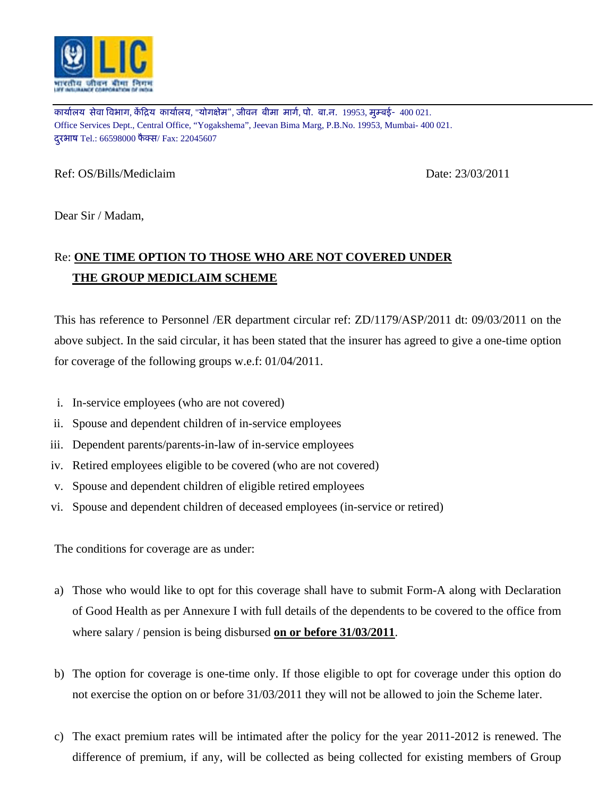

कार्यालय सेवा विभाग, केंद्रिय कार्यालय, "योगक्षेम", जीवन बीमा मार्ग, पो. बा.न. 19953, मुम्बई- 400 021. Office Services Dept., Central Office, "Yogakshema", Jeevan Bima Marg, P.B.No. 19953, Mumbai- 400 021. दूरभाष Tel.: 66598000 फैक्स/ Fax: 22045607

Ref: OS/Bills/Mediclaim Date: 23/03/2011

Dear Sir / Madam,

## Re: **ONE TIME OPTION TO THOSE WHO ARE NOT COVERED UNDER THE GROUP MEDICLAIM SCHEME**

This has reference to Personnel /ER department circular ref: ZD/1179/ASP/2011 dt: 09/03/2011 on the above subject. In the said circular, it has been stated that the insurer has agreed to give a one-time option for coverage of the following groups w.e.f: 01/04/2011.

- i. In-service employees (who are not covered)
- ii. Spouse and dependent children of in-service employees
- iii. Dependent parents/parents-in-law of in-service employees
- iv. Retired employees eligible to be covered (who are not covered)
- v. Spouse and dependent children of eligible retired employees
- vi. Spouse and dependent children of deceased employees (in-service or retired)

The conditions for coverage are as under:

- a) Those who would like to opt for this coverage shall have to submit Form-A along with Declaration of Good Health as per Annexure I with full details of the dependents to be covered to the office from where salary / pension is being disbursed **on or before 31/03/2011**.
- b) The option for coverage is one-time only. If those eligible to opt for coverage under this option do not exercise the option on or before 31/03/2011 they will not be allowed to join the Scheme later.
- c) The exact premium rates will be intimated after the policy for the year 2011-2012 is renewed. The difference of premium, if any, will be collected as being collected for existing members of Group